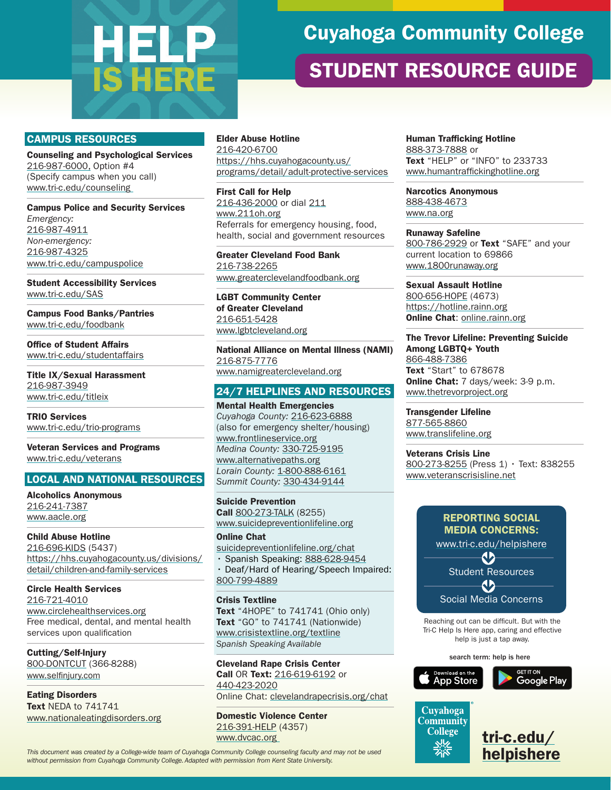# **HELP**<br>IS HERE

# Cuyahoga Community College

## STUDENT RESOURCE GUIDE

#### CAMPUS RESOURCES

Counseling and Psychological Services [216-987-6000,](tel:+216-987-6000) Option #4 (Specify campus when you call) [www.tri-c.edu/counseling](http://www.tri-c.edu/counseling) 

Campus Police and Security Services *Emergency:*  [216-987-4911](tel:+216-987-4911) *Non-emergency:*  [216-987-4325](tel:+216-987-4325) [www.tri-c.edu/campuspolice](http://www.tri-c.edu/campuspolice)

Student Accessibility Services [www.tri-c.edu/SAS](http://www.tri-c.edu/SAS)

Campus Food Banks/Pantries [www.tri-c.edu/foodbank](http://www.tri-c.edu/foodbank)

Office of Student Affairs [www.tri-c.edu/studentaffairs](http://www.tri-c.edu/studentaffairs)

Title IX/Sexual Harassment [216-987-3949](tel:+216-987-3949) [www.tri-c.edu/titleix](http://www.tri-c.edu/titleix)

TRIO Services [www.tri-c.edu/trio-programs](http://www.tri-c.edu/trio-programs)

Veteran Services and Programs [www.tri-c.edu/veterans](http://www.tri-c.edu/veterans)

#### LOCAL AND NATIONAL RESOURCES

Alcoholics Anonymous [216-241-7387](tel:+216-241-7387) [www.aacle.org](http://www.aacle.org)

Child Abuse Hotline [216-696-KIDS](tel:+216-696-5437) (5437) [https://hhs.cuyahogacounty.us/divisions/](https://hhs.cuyahogacounty.us/divisions/detail/children-and-family-services) [detail/children-and-family-services](https://hhs.cuyahogacounty.us/divisions/detail/children-and-family-services)

Circle Health Services [216-721-4010](tel:+216-721-4010) [www.circlehealthservices.org](http://www.circlehealthservices.org) Free medical, dental, and mental health services upon qualification

Cutting/Self-Injury [800-DONTCUT](tel:800-366-8288) (366-8288) [www.selfinjury.com](http://www.selfinjury.com)

Eating Disorders Text NEDA to 741741 [www.nationaleatingdisorders.org](http://www.nationaleatingdisorders.org)

#### Elder Abuse Hotline [216-420-6700](tel:+216-420-6700) [https://hhs.cuyahogacounty.us/](https://hhs.cuyahogacounty.us/programs/detail/adult-protective-services) [programs/detail/adult-protective-services](https://hhs.cuyahogacounty.us/programs/detail/adult-protective-services)

First Call for Help [216-436-2000](tel:+216-436-2000) or dial [211](tel:+211) [www.211oh.org](http://www.211oh.org) Referrals for emergency housing, food, health, social and government resources

Greater Cleveland Food Bank [216-738-2265](tel:+216-738-2265) [www.greaterclevelandfoodbank.org](http://www.greaterclevelandfoodbank.org)

LGBT Community Center of Greater Cleveland [216-651-5428](tel:+216-651-5428) [www.lgbtcleveland.org](http://www.lgbtcleveland.org)

National Alliance on Mental Illness (NAMI) [216-875-7776](tel:+216-651-5428) [www.namigreatercleveland.org](http://www.namigreatercleveland.org)

24/7 HELPLINES AND RESOURCES

Mental Health Emergencies *Cuyahoga County:* [216-623-6888](tel:+216-623-6888) (also for emergency shelter/housing) [www.frontlineservice.org](http://www.frontlineservice.org) *Medina County:* [330-725-9195](tel:+330-725-9195) [www.alternativepaths.org](http://www.alternativepaths.org) *Lorain County:* [1-800-888-6161](tel:+1-800-888-6161) *Summit County:* [330-434-9144](tel:+330-434-9144)

Suicide Prevention Call [800-273-TALK](tel:+800-273-8255) (8255) [www.suicidepreventionlifeline.org](http://www.suicidepreventionlifeline.org)

Online Chat [suicidepreventionlifeline.org/chat](http://suicidepreventionlifeline.org/chat)

• Spanish Speaking: [888-628-9454](tel:888-628-9454)

• Deaf/Hard of Hearing/Speech Impaired: [800-799-4889](tel:+800-799-4889)

Crisis Textline

Text "4HOPE" to 741741 (Ohio only) Text "GO" to 741741 (Nationwide) [www.crisistextline.org/textline](http://www.crisistextline.org/textline) *Spanish Speaking Available*

Cleveland Rape Crisis Center Call OR Text: [216-619-6192](tel:216-619-6192) or [440-423-2020](tel:440-423-2020) Online Chat: <clevelandrapecrisis.org/chat>

Domestic Violence Center [216-391-HELP](tel:216-391-4357) (4357) [www.dvcac.org](http://www.dvcac.org)

[helpishere](http://tri-c.edu/helpishere) *This document was created by a College-wide team of Cuyahoga Community College counseling faculty and may not be used without permission from Cuyahoga Community College. Adapted with permission from Kent State University.*

Human Trafficking Hotline [888-373-7888](tel:888-373-7888) or Text "HELP" or "INFO" to 233733 [www.humantraffickinghotline.org](http://www.humantraffickinghotline.org)

Narcotics Anonymous [888-438-4673](tel:888-438-4673) [www.na.org](http://www.na.org)

Runaway Safeline [800-786-2929](tel:800-786-2929) or Text "SAFE" and your current location to 69866 [www.1800runaway.org](http://www.1800runaway.org)

Sexual Assault Hotline [800-656-HOPE](tel:800-656-4673) (4673) <https://hotline.rainn.org> Online Chat: [online.rainn.org](http://online.rainn.org)

The Trevor Lifeline: Preventing Suicide Among LGBTQ+ Youth [866-488-7386](tel:866-488-7386) Text "Start" to 678678 Online Chat: 7 days/week: 3-9 p.m. [www.thetrevorproject.org](http://www.thetrevorproject.org)

Transgender Lifeline [877-565-8860](tel:877-565-8860) [www.translifeline.org](http://www.translifeline.org)

Veterans Crisis Line [800-273-8255](tel:800-273-8255) (Press 1) · Text: 838255 [www.veteranscrisisline.net](https://www.veteranscrisisline.net/)



Reaching out can be difficult. But with the Tri-C Help Is Here app, caring and effective help is just a tap away.

search term: help is here